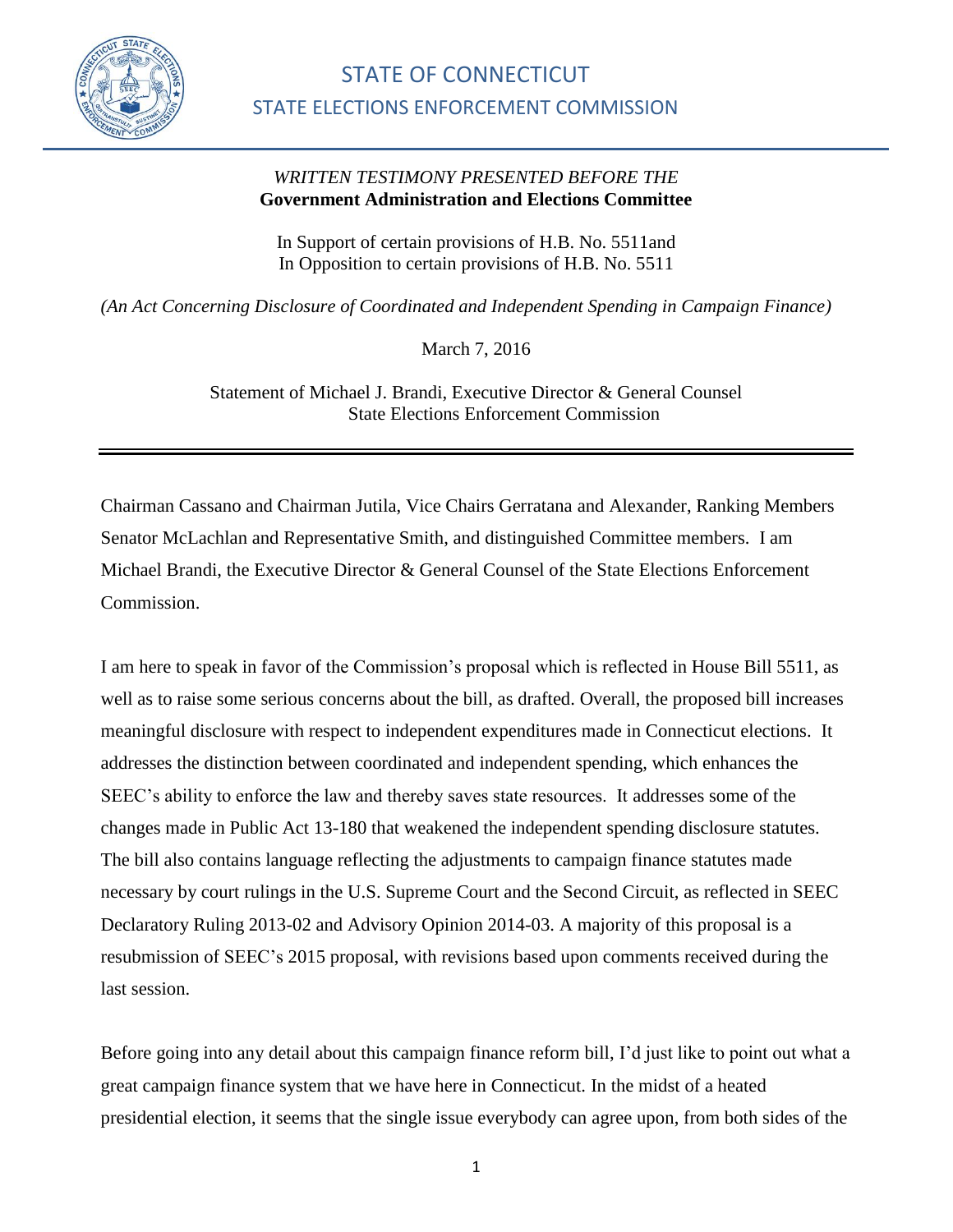

## *WRITTEN TESTIMONY PRESENTED BEFORE THE*  **Government Administration and Elections Committee**

In Support of certain provisions of [H.B. No. 5511a](http://www.cga.ct.gov/asp/cgabillstatus/cgabillstatus.asp?selBillType=Bill&bill_num=HB05389&which_year=2016)nd In Opposition to certain provisions of [H.B. No. 5511](http://www.cga.ct.gov/asp/cgabillstatus/cgabillstatus.asp?selBillType=Bill&bill_num=HB05389&which_year=2016)

*(An Act Concerning Disclosure of Coordinated and Independent Spending in Campaign Finance)*

March 7, 2016

Statement of Michael J. Brandi, Executive Director & General Counsel State Elections Enforcement Commission

Chairman Cassano and Chairman Jutila, Vice Chairs Gerratana and Alexander, Ranking Members Senator McLachlan and Representative Smith, and distinguished Committee members. I am Michael Brandi, the Executive Director & General Counsel of the State Elections Enforcement Commission.

I am here to speak in favor of the Commission's proposal which is reflected in House Bill 5511, as well as to raise some serious concerns about the bill, as drafted. Overall, the proposed bill increases meaningful disclosure with respect to independent expenditures made in Connecticut elections. It addresses the distinction between coordinated and independent spending, which enhances the SEEC's ability to enforce the law and thereby saves state resources. It addresses some of the changes made in Public Act 13-180 that weakened the independent spending disclosure statutes. The bill also contains language reflecting the adjustments to campaign finance statutes made necessary by court rulings in the U.S. Supreme Court and the Second Circuit, as reflected in SEEC Declaratory Ruling 2013-02 and Advisory Opinion 2014-03. A majority of this proposal is a resubmission of SEEC's 2015 proposal, with revisions based upon comments received during the last session.

Before going into any detail about this campaign finance reform bill, I'd just like to point out what a great campaign finance system that we have here in Connecticut. In the midst of a heated presidential election, it seems that the single issue everybody can agree upon, from both sides of the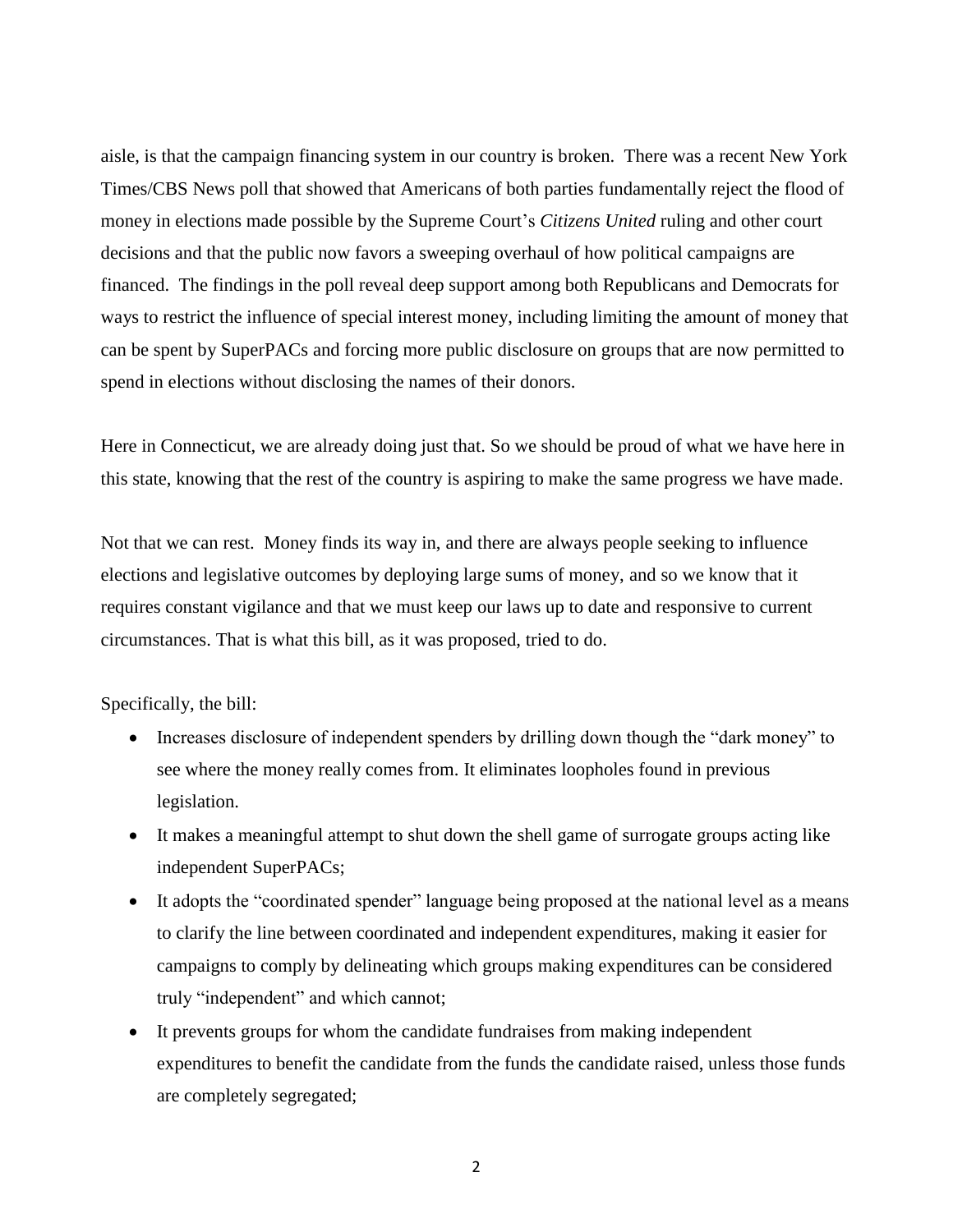aisle, is that the campaign financing system in our country is broken. There was a recent New York Times/CBS News poll that showed that Americans of both parties fundamentally reject the flood of money in elections made possible by the [Supreme Court'](http://topics.nytimes.com/top/reference/timestopics/organizations/s/supreme_court/index.html?inline=nyt-org)s *Citizens United* ruling and other court decisions and that the public now favors a sweeping overhaul of how political campaigns are financed. The findings in the poll reveal deep support among both Republicans and Democrats for ways to restrict the influence of special interest money, including limiting the amount of money that can be spent by [SuperPACs](http://topics.nytimes.com/top/reference/timestopics/subjects/c/campaign_finance/index.html?inline=nyt-classifier) and forcing more public disclosure on groups that are now permitted to spend in elections without disclosing the names of their donors.

Here in Connecticut, we are already doing just that. So we should be proud of what we have here in this state, knowing that the rest of the country is aspiring to make the same progress we have made.

Not that we can rest. Money finds its way in, and there are always people seeking to influence elections and legislative outcomes by deploying large sums of money, and so we know that it requires constant vigilance and that we must keep our laws up to date and responsive to current circumstances. That is what this bill, as it was proposed, tried to do.

Specifically, the bill:

- Increases disclosure of independent spenders by drilling down though the "dark money" to see where the money really comes from. It eliminates loopholes found in previous legislation.
- It makes a meaningful attempt to shut down the shell game of surrogate groups acting like independent SuperPACs;
- It adopts the "coordinated spender" language being proposed at the national level as a means to clarify the line between coordinated and independent expenditures, making it easier for campaigns to comply by delineating which groups making expenditures can be considered truly "independent" and which cannot;
- It prevents groups for whom the candidate fundraises from making independent expenditures to benefit the candidate from the funds the candidate raised, unless those funds are completely segregated;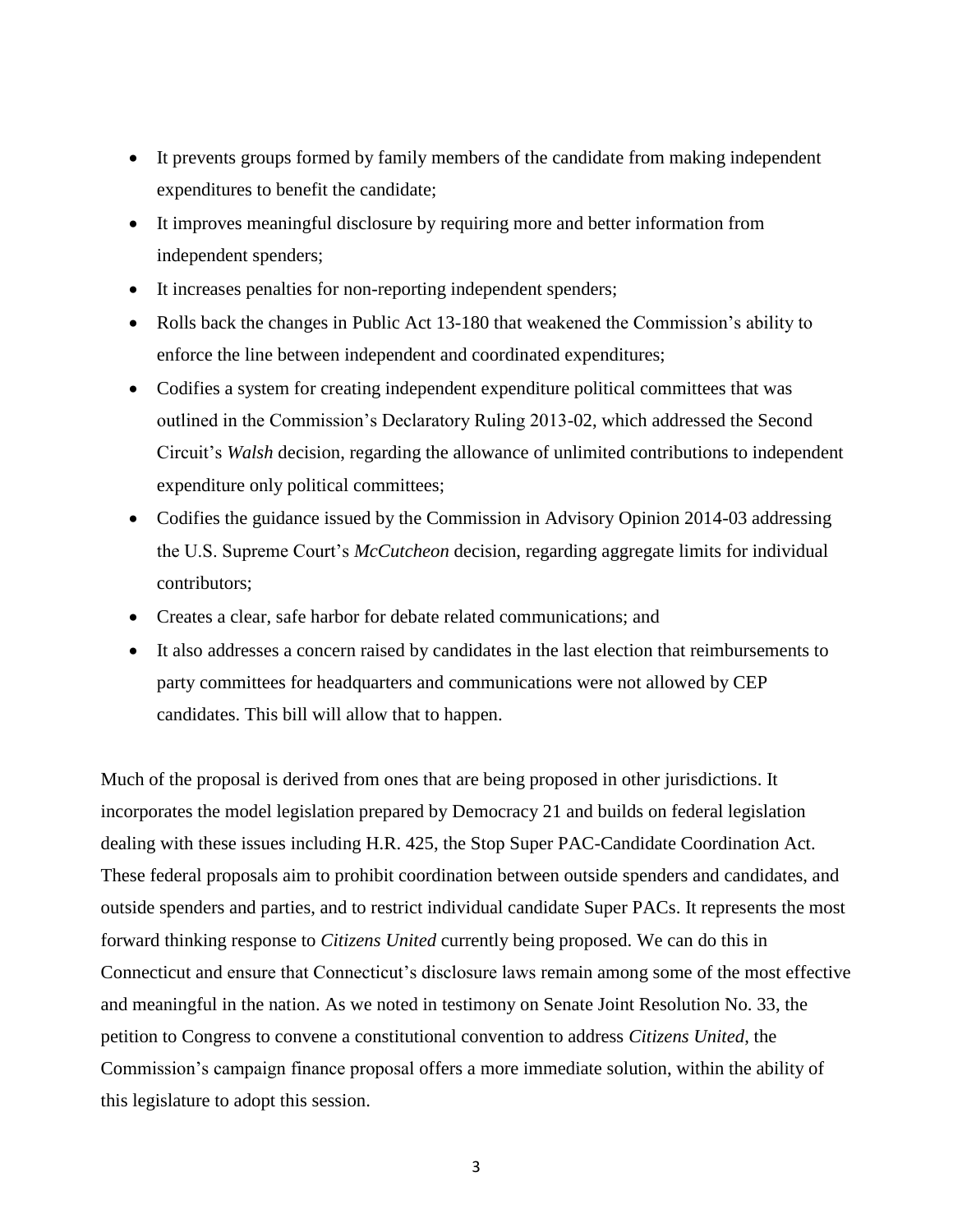- It prevents groups formed by family members of the candidate from making independent expenditures to benefit the candidate;
- It improves meaningful disclosure by requiring more and better information from independent spenders;
- It increases penalties for non-reporting independent spenders;
- Rolls back the changes in Public Act 13-180 that weakened the Commission's ability to enforce the line between independent and coordinated expenditures;
- Codifies a system for creating independent expenditure political committees that was outlined in the Commission's Declaratory Ruling 2013-02, which addressed the Second Circuit's *Walsh* decision, regarding the allowance of unlimited contributions to independent expenditure only political committees;
- Codifies the guidance issued by the Commission in Advisory Opinion 2014-03 addressing the U.S. Supreme Court's *McCutcheon* decision, regarding aggregate limits for individual contributors;
- Creates a clear, safe harbor for debate related communications; and
- It also addresses a concern raised by candidates in the last election that reimbursements to party committees for headquarters and communications were not allowed by CEP candidates. This bill will allow that to happen.

Much of the proposal is derived from ones that are being proposed in other jurisdictions. It incorporates the model legislation prepared by Democracy 21 and builds on federal legislation dealing with these issues including H.R. 425, the Stop Super PAC-Candidate Coordination Act. These federal proposals aim to prohibit coordination between outside spenders and candidates, and outside spenders and parties, and to restrict individual candidate Super PACs. It represents the most forward thinking response to *Citizens United* currently being proposed. We can do this in Connecticut and ensure that Connecticut's disclosure laws remain among some of the most effective and meaningful in the nation. As we noted in testimony on Senate Joint Resolution No. 33, the petition to Congress to convene a constitutional convention to address *Citizens United*, the Commission's campaign finance proposal offers a more immediate solution, within the ability of this legislature to adopt this session.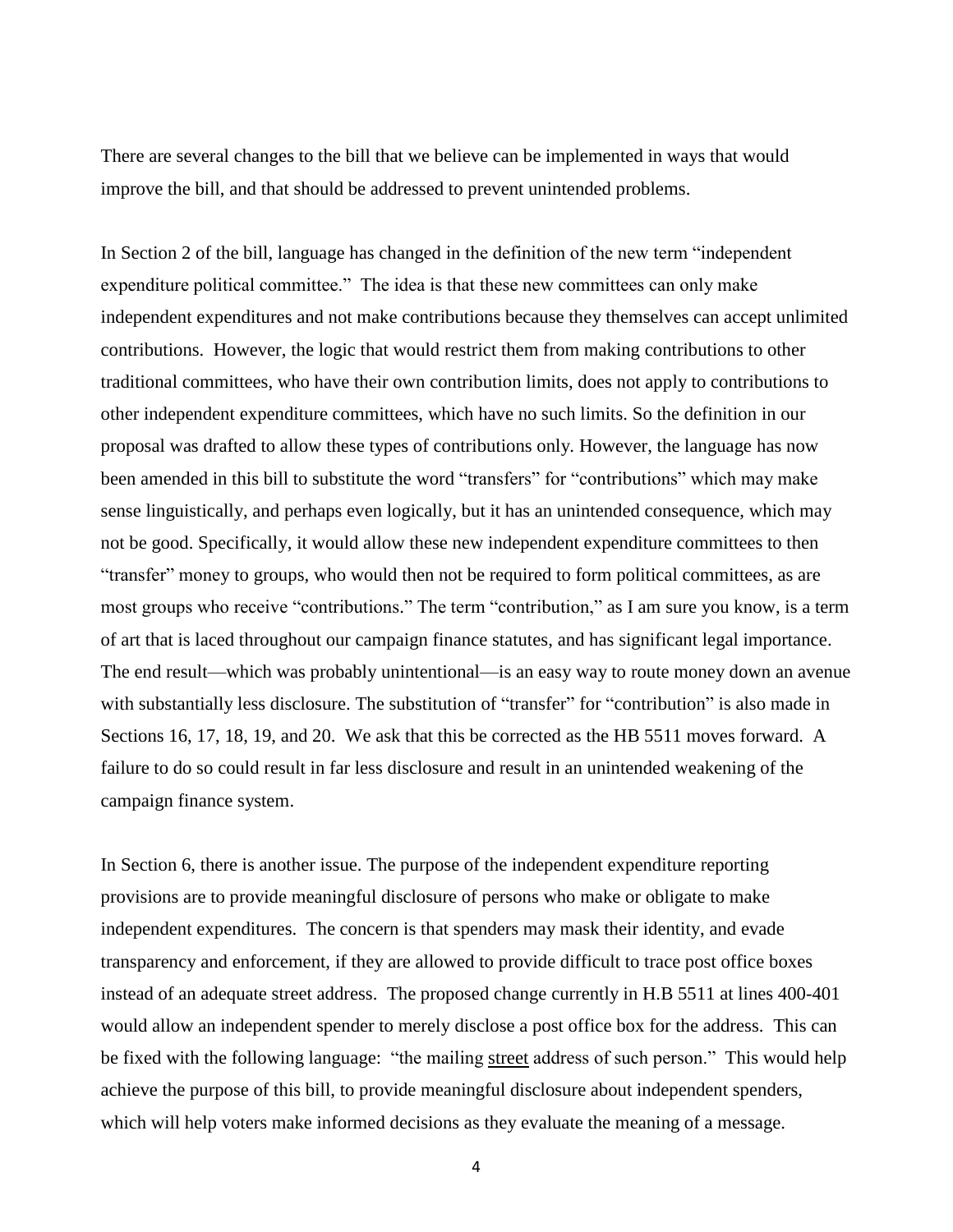There are several changes to the bill that we believe can be implemented in ways that would improve the bill, and that should be addressed to prevent unintended problems.

In Section 2 of the bill, language has changed in the definition of the new term "independent expenditure political committee." The idea is that these new committees can only make independent expenditures and not make contributions because they themselves can accept unlimited contributions. However, the logic that would restrict them from making contributions to other traditional committees, who have their own contribution limits, does not apply to contributions to other independent expenditure committees, which have no such limits. So the definition in our proposal was drafted to allow these types of contributions only. However, the language has now been amended in this bill to substitute the word "transfers" for "contributions" which may make sense linguistically, and perhaps even logically, but it has an unintended consequence, which may not be good. Specifically, it would allow these new independent expenditure committees to then "transfer" money to groups, who would then not be required to form political committees, as are most groups who receive "contributions." The term "contribution," as I am sure you know, is a term of art that is laced throughout our campaign finance statutes, and has significant legal importance. The end result—which was probably unintentional—is an easy way to route money down an avenue with substantially less disclosure. The substitution of "transfer" for "contribution" is also made in Sections 16, 17, 18, 19, and 20. We ask that this be corrected as the HB 5511 moves forward. A failure to do so could result in far less disclosure and result in an unintended weakening of the campaign finance system.

In Section 6, there is another issue. The purpose of the independent expenditure reporting provisions are to provide meaningful disclosure of persons who make or obligate to make independent expenditures. The concern is that spenders may mask their identity, and evade transparency and enforcement, if they are allowed to provide difficult to trace post office boxes instead of an adequate street address. The proposed change currently in H.B 5511 at lines 400-401 would allow an independent spender to merely disclose a post office box for the address. This can be fixed with the following language: "the mailing street address of such person." This would help achieve the purpose of this bill, to provide meaningful disclosure about independent spenders, which will help voters make informed decisions as they evaluate the meaning of a message.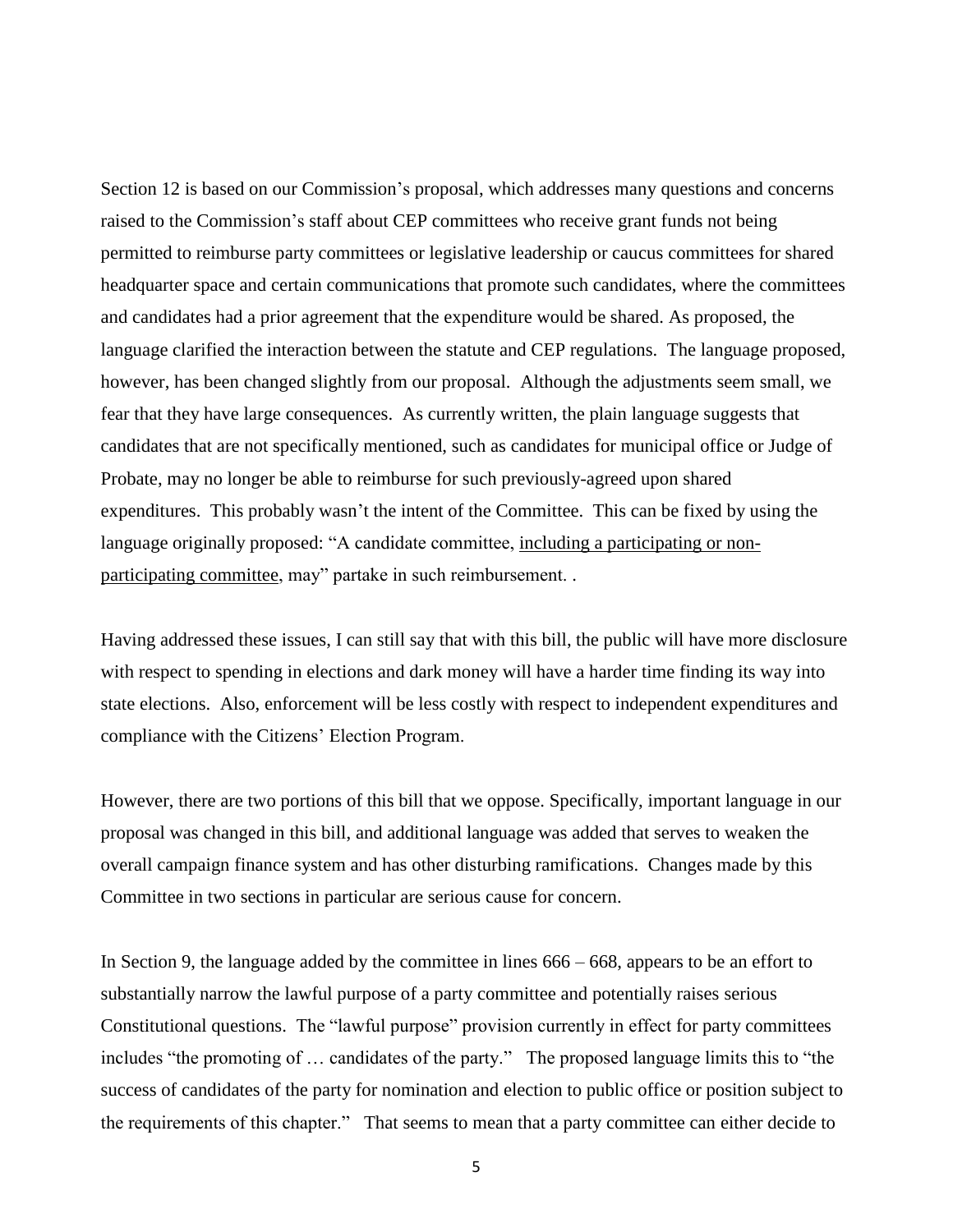Section 12 is based on our Commission's proposal, which addresses many questions and concerns raised to the Commission's staff about CEP committees who receive grant funds not being permitted to reimburse party committees or legislative leadership or caucus committees for shared headquarter space and certain communications that promote such candidates, where the committees and candidates had a prior agreement that the expenditure would be shared. As proposed, the language clarified the interaction between the statute and CEP regulations. The language proposed, however, has been changed slightly from our proposal. Although the adjustments seem small, we fear that they have large consequences. As currently written, the plain language suggests that candidates that are not specifically mentioned, such as candidates for municipal office or Judge of Probate, may no longer be able to reimburse for such previously-agreed upon shared expenditures. This probably wasn't the intent of the Committee. This can be fixed by using the language originally proposed: "A candidate committee, including a participating or nonparticipating committee, may" partake in such reimbursement. .

Having addressed these issues, I can still say that with this bill, the public will have more disclosure with respect to spending in elections and dark money will have a harder time finding its way into state elections. Also, enforcement will be less costly with respect to independent expenditures and compliance with the Citizens' Election Program.

However, there are two portions of this bill that we oppose. Specifically, important language in our proposal was changed in this bill, and additional language was added that serves to weaken the overall campaign finance system and has other disturbing ramifications. Changes made by this Committee in two sections in particular are serious cause for concern.

In Section 9, the language added by the committee in lines 666 – 668, appears to be an effort to substantially narrow the lawful purpose of a party committee and potentially raises serious Constitutional questions. The "lawful purpose" provision currently in effect for party committees includes "the promoting of … candidates of the party." The proposed language limits this to "the success of candidates of the party for nomination and election to public office or position subject to the requirements of this chapter." That seems to mean that a party committee can either decide to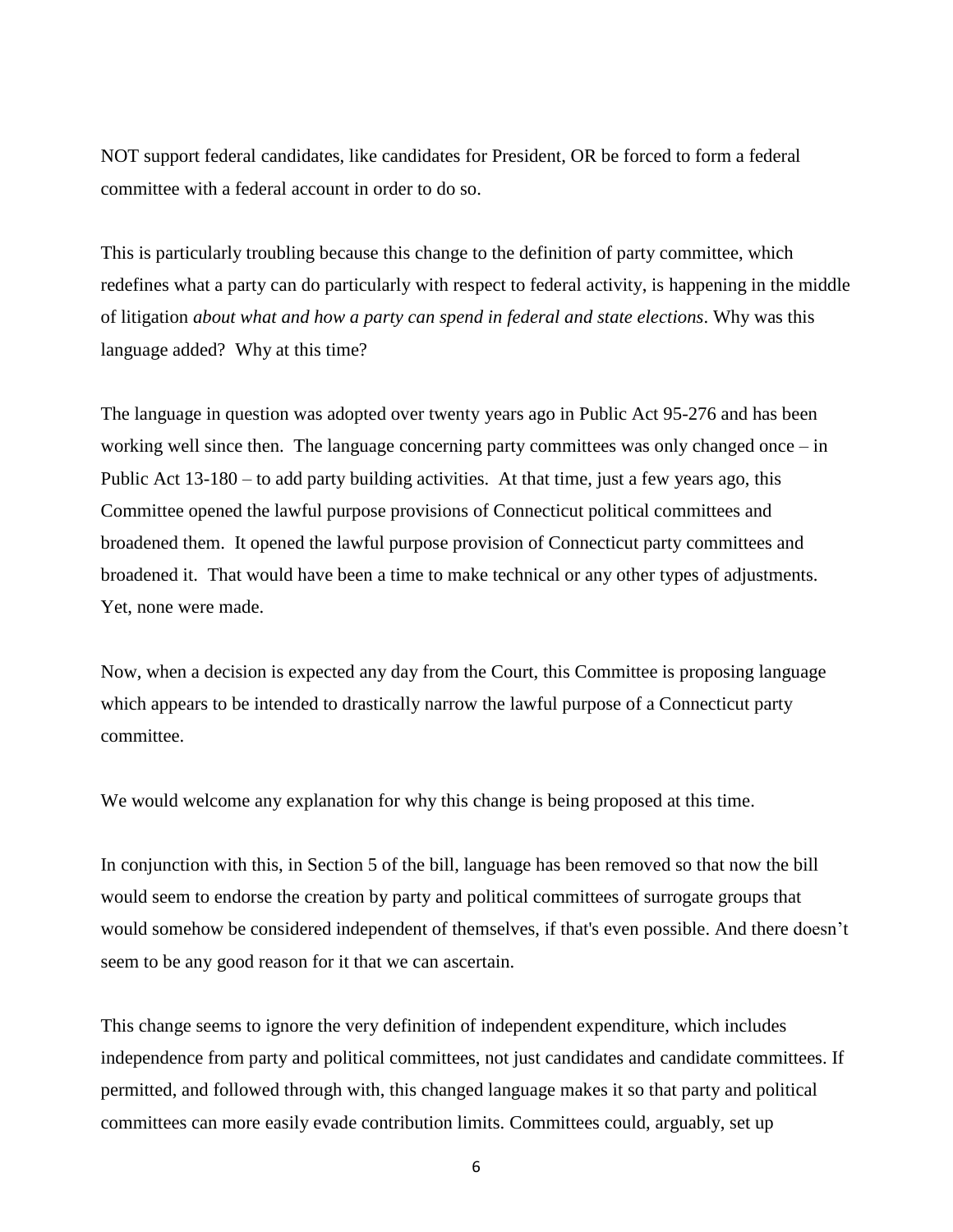NOT support federal candidates, like candidates for President, OR be forced to form a federal committee with a federal account in order to do so.

This is particularly troubling because this change to the definition of party committee, which redefines what a party can do particularly with respect to federal activity, is happening in the middle of litigation *about what and how a party can spend in federal and state elections*. Why was this language added? Why at this time?

The language in question was adopted over twenty years ago in Public Act 95-276 and has been working well since then. The language concerning party committees was only changed once – in Public Act 13-180 – to add party building activities. At that time, just a few years ago, this Committee opened the lawful purpose provisions of Connecticut political committees and broadened them. It opened the lawful purpose provision of Connecticut party committees and broadened it. That would have been a time to make technical or any other types of adjustments. Yet, none were made.

Now, when a decision is expected any day from the Court, this Committee is proposing language which appears to be intended to drastically narrow the lawful purpose of a Connecticut party committee.

We would welcome any explanation for why this change is being proposed at this time.

In conjunction with this, in Section 5 of the bill, language has been removed so that now the bill would seem to endorse the creation by party and political committees of surrogate groups that would somehow be considered independent of themselves, if that's even possible. And there doesn't seem to be any good reason for it that we can ascertain.

This change seems to ignore the very definition of independent expenditure, which includes independence from party and political committees, not just candidates and candidate committees. If permitted, and followed through with, this changed language makes it so that party and political committees can more easily evade contribution limits. Committees could, arguably, set up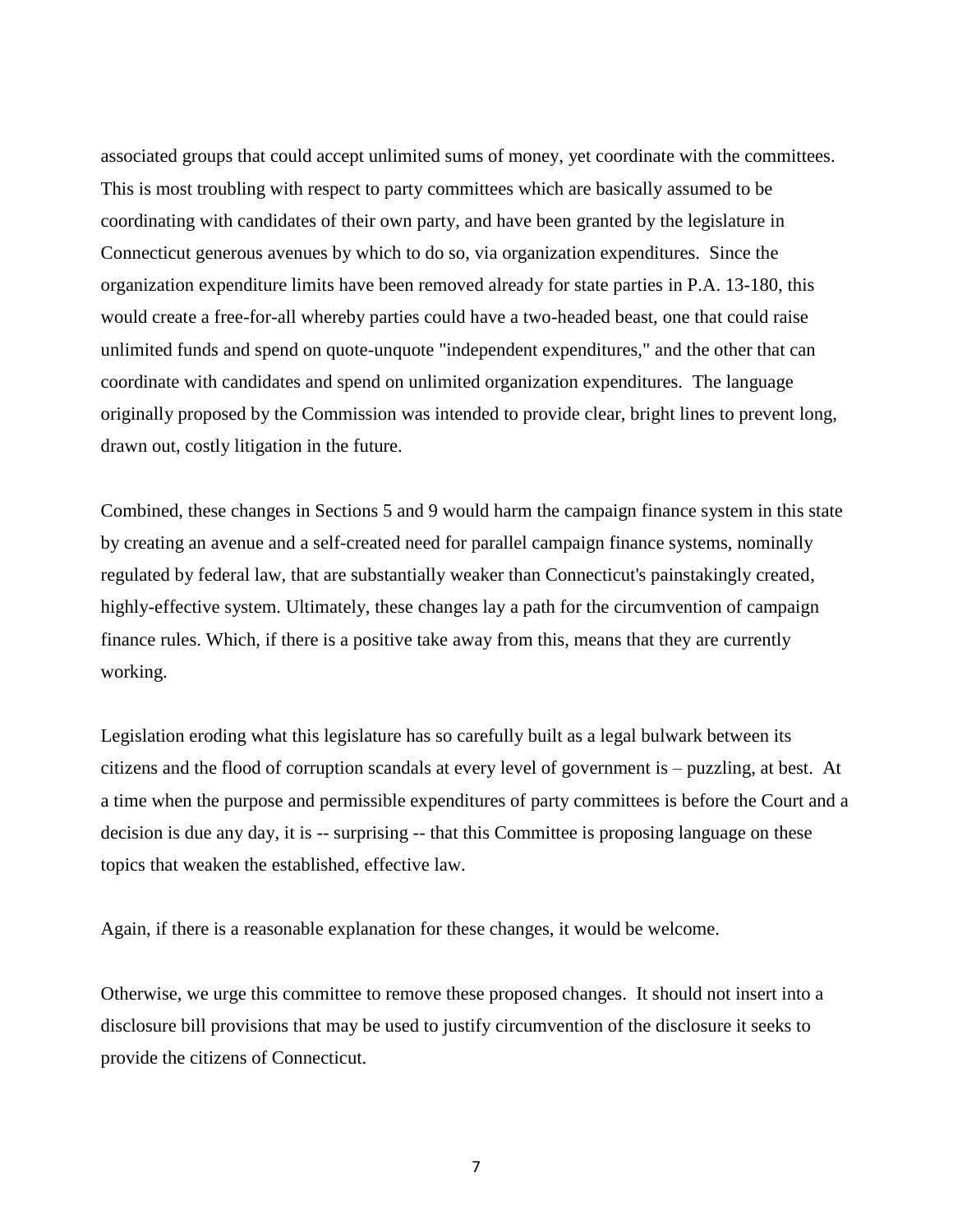associated groups that could accept unlimited sums of money, yet coordinate with the committees. This is most troubling with respect to party committees which are basically assumed to be coordinating with candidates of their own party, and have been granted by the legislature in Connecticut generous avenues by which to do so, via organization expenditures. Since the organization expenditure limits have been removed already for state parties in P.A. 13-180, this would create a free-for-all whereby parties could have a two-headed beast, one that could raise unlimited funds and spend on quote-unquote "independent expenditures," and the other that can coordinate with candidates and spend on unlimited organization expenditures. The language originally proposed by the Commission was intended to provide clear, bright lines to prevent long, drawn out, costly litigation in the future.

Combined, these changes in Sections 5 and 9 would harm the campaign finance system in this state by creating an avenue and a self-created need for parallel campaign finance systems, nominally regulated by federal law, that are substantially weaker than Connecticut's painstakingly created, highly-effective system. Ultimately, these changes lay a path for the circumvention of campaign finance rules. Which, if there is a positive take away from this, means that they are currently working.

Legislation eroding what this legislature has so carefully built as a legal bulwark between its citizens and the flood of corruption scandals at every level of government is – puzzling, at best. At a time when the purpose and permissible expenditures of party committees is before the Court and a decision is due any day, it is -- surprising -- that this Committee is proposing language on these topics that weaken the established, effective law.

Again, if there is a reasonable explanation for these changes, it would be welcome.

Otherwise, we urge this committee to remove these proposed changes. It should not insert into a disclosure bill provisions that may be used to justify circumvention of the disclosure it seeks to provide the citizens of Connecticut.